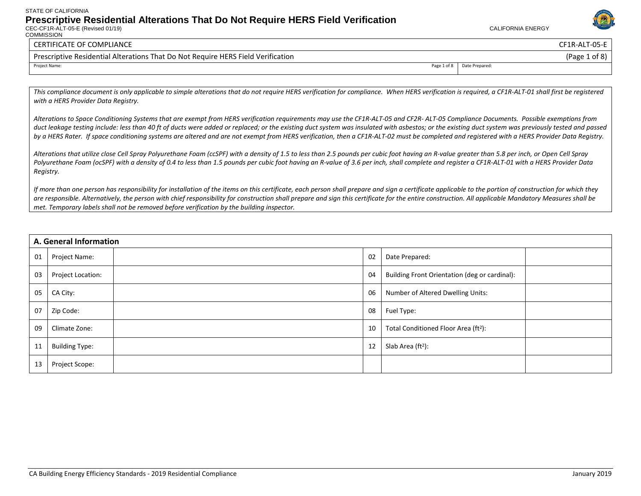CEC-CF1R-ALT-05-E (Revised 01/19) CALIFORNIA ENERGY **COMMISSION** 



#### CERTIFICATE OF COMPLIANCE CF1R-ALT-05-E

Prescriptive Residential Alterations That Do Not Require HERS Field Verification (Page 1 of 8) (Page 1 of 8) Project Name: Page 1 of 8 Date Prepared:

This compliance document is only applicable to simple alterations that do not require HERS verification for compliance. When HERS verification is required, a CF1R-ALT-01 shall first be reqistered *with a HERS Provider Data Registry.* 

*Alterations to Space Conditioning Systems that are exempt from HERS verification requirements may use the CF1R-ALT-05 and CF2R- ALT-05 Compliance Documents. Possible exemptions from*  duct leakage testing include: less than 40 ft of ducts were added or replaced; or the existing duct system was insulated with asbestos; or the existing duct system was previously tested and passed *by a HERS Rater. If space conditioning systems are altered and are not exempt from HERS verification, then a CF1R-ALT-02 must be completed and registered with a HERS Provider Data Registry.*

*Alterations that utilize close Cell Spray Polyurethane Foam (ccSPF) with a density of 1.5 to less than 2.5 pounds per cubic foot having an R-value greater than 5.8 per inch, or Open Cell Spray Polyurethane Foam (ocSPF) with a density of 0.4 to less than 1.5 pounds per cubic foot having an R-value of 3.6 per inch, shall complete and register a CF1R-ALT-01 with a HERS Provider Data Registry.*

*If more than one person has responsibility for installation of the items on this certificate, each person shall prepare and sign a certificate applicable to the portion of construction for which they are responsible. Alternatively, the person with chief responsibility for construction shall prepare and sign this certificate for the entire construction. All applicable Mandatory Measures shall be met. Temporary labels shall not be removed before verification by the building inspector.*

|    | A. General Information |    |                                                  |  |
|----|------------------------|----|--------------------------------------------------|--|
| 01 | Project Name:          | 02 | Date Prepared:                                   |  |
| 03 | Project Location:      | 04 | Building Front Orientation (deg or cardinal):    |  |
| 05 | CA City:               | 06 | Number of Altered Dwelling Units:                |  |
| 07 | Zip Code:              | 08 | Fuel Type:                                       |  |
| 09 | Climate Zone:          | 10 | Total Conditioned Floor Area (ft <sup>2</sup> ): |  |
| 11 | <b>Building Type:</b>  | 12 | Slab Area $(ft2)$ :                              |  |
| 13 | Project Scope:         |    |                                                  |  |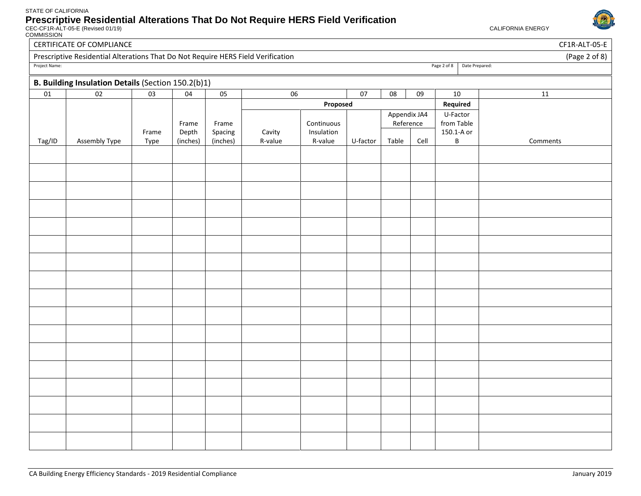

COMMISSION

| Date Prepared:<br>$11\,$ |
|--------------------------|
|                          |
|                          |
|                          |
|                          |
|                          |
|                          |
| Comments                 |
|                          |
|                          |
|                          |
|                          |
|                          |
|                          |
|                          |
|                          |
|                          |
|                          |
|                          |
|                          |
|                          |
|                          |
|                          |
|                          |
|                          |
|                          |
|                          |
|                          |
|                          |
|                          |
|                          |
|                          |
|                          |
|                          |

CERTIFICATE OF COMPLIANCE CF1R-ALT-05-E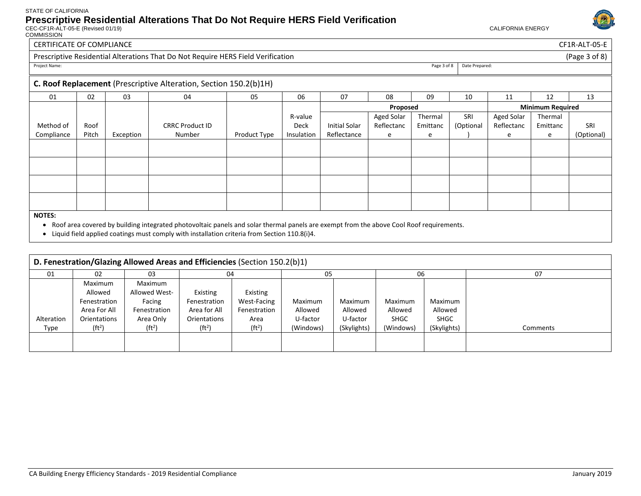CEC-CF1R-ALT-05-E (Revised 01/19) CALIFORNIA ENERGY COMMISSION



#### CERTIFICATE OF COMPLIANCE CF1R-ALT-05-E Prescriptive Residential Alterations That Do Not Require HERS Field Verification (Page 3 of 8) (Page 3 of 8) Project Name: Page 3 of 8 Date Prepared: **C. Roof Replacement** (Prescriptive Alteration, Section 150.2(b)1H) 01 | 02 | 03 | 04 | 05 | 06 | 07 | 08 | 09 | 10 | 11 | 12 | 13 Method of Compliance Roof Pitch Exception CRRC Product ID Number Product Type R-value Deck Insulation **Proposed Minimum Required** Initial Solar Reflectance Aged Solar Reflectanc e Thermal Emittanc e SRI (Optional ) Aged Solar Reflectanc e Thermal Emittanc e SRI (Optional)

#### **NOTES:**

• Roof area covered by building integrated photovoltaic panels and solar thermal panels are exempt from the above Cool Roof requirements.

• Liquid field applied coatings must comply with installation criteria from Section 110.8(i)4.

| D. Fenestration/Glazing Allowed Areas and Efficiencies (Section 150.2(b)1) |                    |                    |                    |                    |           |             |             |             |          |
|----------------------------------------------------------------------------|--------------------|--------------------|--------------------|--------------------|-----------|-------------|-------------|-------------|----------|
| 01                                                                         | 02                 | 03                 | 04                 |                    | 05        |             | 06          |             | 07       |
|                                                                            | Maximum            | Maximum            |                    |                    |           |             |             |             |          |
|                                                                            | Allowed            | Allowed West-      | Existing           | Existing           |           |             |             |             |          |
|                                                                            | Fenestration       | Facing             | Fenestration       | <b>West-Facing</b> | Maximum   | Maximum     | Maximum     | Maximum     |          |
|                                                                            | Area For All       | Fenestration       | Area for All       | Fenestration       | Allowed   | Allowed     | Allowed     | Allowed     |          |
| Alteration                                                                 | Orientations       | Area Only          | Orientations       | Area               | U-factor  | U-factor    | <b>SHGC</b> | <b>SHGC</b> |          |
| Type                                                                       | (ft <sup>2</sup> ) | (ft <sup>2</sup> ) | (ft <sup>2</sup> ) | (ft <sup>2</sup> ) | (Windows) | (Skylights) | (Windows)   | (Skylights) | Comments |
|                                                                            |                    |                    |                    |                    |           |             |             |             |          |
|                                                                            |                    |                    |                    |                    |           |             |             |             |          |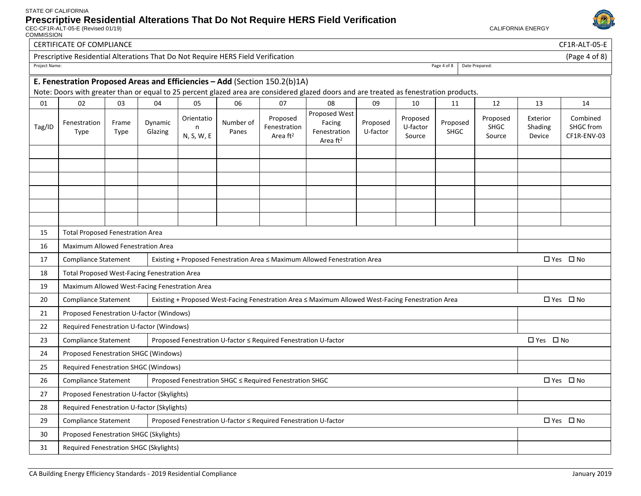

|               | <b>CERTIFICATE OF COMPLIANCE</b>                                                                         |               |                    |                               |                    |                                                                 |                                                                                                                                        |                      |                                |                  |                                   |                               | CF1R-ALT-05-E                        |
|---------------|----------------------------------------------------------------------------------------------------------|---------------|--------------------|-------------------------------|--------------------|-----------------------------------------------------------------|----------------------------------------------------------------------------------------------------------------------------------------|----------------------|--------------------------------|------------------|-----------------------------------|-------------------------------|--------------------------------------|
|               | Prescriptive Residential Alterations That Do Not Require HERS Field Verification                         |               |                    |                               |                    |                                                                 |                                                                                                                                        |                      |                                |                  |                                   |                               | (Page 4 of 8)                        |
| Project Name: |                                                                                                          |               |                    |                               |                    |                                                                 |                                                                                                                                        |                      |                                | Page 4 of 8      | Date Prepared:                    |                               |                                      |
|               | E. Fenestration Proposed Areas and Efficiencies - Add (Section 150.2(b)1A)                               |               |                    |                               |                    |                                                                 |                                                                                                                                        |                      |                                |                  |                                   |                               |                                      |
|               |                                                                                                          |               |                    |                               |                    |                                                                 | Note: Doors with greater than or equal to 25 percent glazed area are considered glazed doors and are treated as fenestration products. |                      |                                |                  |                                   |                               |                                      |
| 01            | 02                                                                                                       | 03            | 04                 | 05                            | 06                 | 07                                                              | 08                                                                                                                                     | 09                   | 10                             | 11               | 12                                | 13                            | 14                                   |
| Tag/ID        | Fenestration<br>Type                                                                                     | Frame<br>Type | Dynamic<br>Glazing | Orientatio<br>n<br>N, S, W, E | Number of<br>Panes | Proposed<br>Fenestration<br>Area $ft2$                          | Proposed West<br>Facing<br>Fenestration<br>Area ft <sup>2</sup>                                                                        | Proposed<br>U-factor | Proposed<br>U-factor<br>Source | Proposed<br>SHGC | Proposed<br><b>SHGC</b><br>Source | Exterior<br>Shading<br>Device | Combined<br>SHGC from<br>CF1R-ENV-03 |
|               |                                                                                                          |               |                    |                               |                    |                                                                 |                                                                                                                                        |                      |                                |                  |                                   |                               |                                      |
|               |                                                                                                          |               |                    |                               |                    |                                                                 |                                                                                                                                        |                      |                                |                  |                                   |                               |                                      |
|               |                                                                                                          |               |                    |                               |                    |                                                                 |                                                                                                                                        |                      |                                |                  |                                   |                               |                                      |
|               |                                                                                                          |               |                    |                               |                    |                                                                 |                                                                                                                                        |                      |                                |                  |                                   |                               |                                      |
| 15            | <b>Total Proposed Fenestration Area</b>                                                                  |               |                    |                               |                    |                                                                 |                                                                                                                                        |                      |                                |                  |                                   |                               |                                      |
| 16            | <b>Maximum Allowed Fenestration Area</b>                                                                 |               |                    |                               |                    |                                                                 |                                                                                                                                        |                      |                                |                  |                                   |                               |                                      |
| 17            | <b>Compliance Statement</b><br>Existing + Proposed Fenestration Area ≤ Maximum Allowed Fenestration Area |               |                    |                               |                    |                                                                 |                                                                                                                                        |                      |                                | □ Yes □ No       |                                   |                               |                                      |
| 18            | Total Proposed West-Facing Fenestration Area                                                             |               |                    |                               |                    |                                                                 |                                                                                                                                        |                      |                                |                  |                                   |                               |                                      |
| 19            | Maximum Allowed West-Facing Fenestration Area                                                            |               |                    |                               |                    |                                                                 |                                                                                                                                        |                      |                                |                  |                                   |                               |                                      |
| 20            | <b>Compliance Statement</b>                                                                              |               |                    |                               |                    |                                                                 | Existing + Proposed West-Facing Fenestration Area ≤ Maximum Allowed West-Facing Fenestration Area                                      |                      |                                |                  |                                   |                               | □ Yes □ No                           |
| 21            | Proposed Fenestration U-factor (Windows)                                                                 |               |                    |                               |                    |                                                                 |                                                                                                                                        |                      |                                |                  |                                   |                               |                                      |
| 22            | Required Fenestration U-factor (Windows)                                                                 |               |                    |                               |                    |                                                                 |                                                                                                                                        |                      |                                |                  |                                   |                               |                                      |
| 23            | <b>Compliance Statement</b>                                                                              |               |                    |                               |                    | Proposed Fenestration U-factor ≤ Required Fenestration U-factor |                                                                                                                                        |                      |                                |                  |                                   | □ Yes □ No                    |                                      |
| 24            | Proposed Fenestration SHGC (Windows)                                                                     |               |                    |                               |                    |                                                                 |                                                                                                                                        |                      |                                |                  |                                   |                               |                                      |
| 25            | <b>Required Fenestration SHGC (Windows)</b>                                                              |               |                    |                               |                    |                                                                 |                                                                                                                                        |                      |                                |                  |                                   |                               |                                      |
| 26            | <b>Compliance Statement</b><br>Proposed Fenestration SHGC ≤ Required Fenestration SHGC                   |               |                    |                               |                    |                                                                 |                                                                                                                                        |                      | □ Yes □ No                     |                  |                                   |                               |                                      |
| 27            | Proposed Fenestration U-factor (Skylights)                                                               |               |                    |                               |                    |                                                                 |                                                                                                                                        |                      |                                |                  |                                   |                               |                                      |
| 28            | Required Fenestration U-factor (Skylights)                                                               |               |                    |                               |                    |                                                                 |                                                                                                                                        |                      |                                |                  |                                   |                               |                                      |
| 29            | <b>Compliance Statement</b>                                                                              |               |                    |                               |                    | Proposed Fenestration U-factor ≤ Required Fenestration U-factor |                                                                                                                                        |                      |                                |                  |                                   |                               | □ Yes □ No                           |
| 30            | Proposed Fenestration SHGC (Skylights)                                                                   |               |                    |                               |                    |                                                                 |                                                                                                                                        |                      |                                |                  |                                   |                               |                                      |
| 31            | Required Fenestration SHGC (Skylights)                                                                   |               |                    |                               |                    |                                                                 |                                                                                                                                        |                      |                                |                  |                                   |                               |                                      |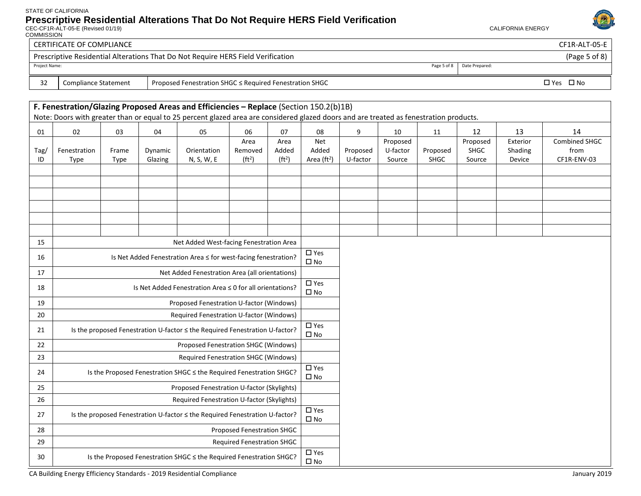CEC-CF1R-ALT-05-E (Revised 01/19) CALIFORNIA ENERGY

**COMMISSION** 



## CERTIFICATE OF COMPLIANCE CF1R-ALT-05-E Prescriptive Residential Alterations That Do Not Require HERS Field Verification (Page 5 of 8) Project Name: Page 5 of 8 Date Prepared:

32 Compliance Statement Proposed Fenestration SHGC ≤ Required Fenestration SHGC Yes No No Proposed Fenestration SHGC Yes No

#### **F. Fenestration/Glazing Proposed Areas and Efficiencies – Replace** (Section 150.2(b)1B) Note: Doors with greater than or equal to 25 percent glazed area are considered glazed doors and are treated as fenestration products. 01 | 02 | 03 | 04 | 05 | 06 | 07 | 08 | 9 | 10 | 11 | 12 | 13 | 14 Tag/ ID Fenestration Type Frame Type Dynamic Glazing Orientation N, S, W, E Area Removed  $(ft<sup>2</sup>)$ Area Added  $(ft<sup>2</sup>)$ Net Added Area (ft<sup>2</sup>) Proposed U-factor Proposed U-factor Source Proposed SHGC Proposed SHGC Source Exterior Shading Device Combined SHGC from CF1R-ENV-03 15 Net Added West-facing Fenestration Area 16 | Is Net Added Fenestration Area ≤ for west-facing fenestration?  $\begin{bmatrix} \Box & \text{Yes} \\ \Box & \ddots & \end{bmatrix}$  $\square$  No 17 Net Added Fenestration Area (all orientations) 18 | Is Net Added Fenestration Area ≤ 0 for all orientations?  $\begin{array}{c} \square$  Yes  $\square$  No 19 Proposed Fenestration U-factor (Windows) 20 Required Fenestration U-factor (Windows) 21 Is the proposed Fenestration U-factor ≤ the Required Fenestration U-factor?  $\begin{bmatrix} \Box & \text{Yes} \\ \Box & \ddots & \end{bmatrix}$  $\square$  No 22 Proposed Fenestration SHGC (Windows) 23 Required Fenestration SHGC (Windows) 24 Is the Proposed Fenestration SHGC ≤ the Required Fenestration SHGC?  $\begin{array}{|c|c|c|c|c|c|}\n\hline\n24 & \text{Is the Proposed Fenestration and D.}\n\end{array}$  $\square$  No 25 Proposed Fenestration U-factor (Skylights) 26 Required Fenestration U-factor (Skylights) 27 Is the proposed Fenestration U-factor ≤ the Required Fenestration U-factor?  $\Box$  Yes  $\square$  No 28 Proposed Fenestration SHGC 29 Required Fenestration SHGC 30 Is the Proposed Fenestration SHGC ≤ the Required Fenestration SHGC?  $\begin{array}{|c|c|c|c|c|}\n\hline\n30 & \text{Is the Proposed Fenestration} \end{array}$  $\square$  No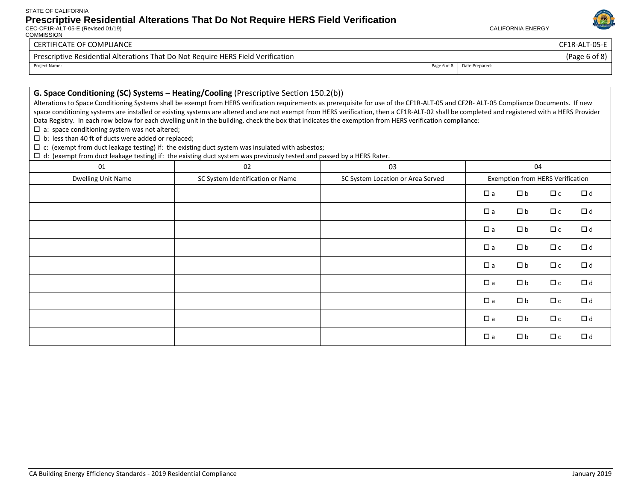$\Box$  d: (exempt from duct leakage testing) if: the existing duct system was previously tested and passed by a HERS Rater.

CEC-CF1R-ALT-05-E (Revised 01/19) CALIFORNIA ENERGY **COMMISSION** 



### CERTIFICATE OF COMPLIANCE CF1R-ALT-05-E

 $\square$  a: space conditioning system was not altered;  $\square$  b: less than 40 ft of ducts were added or replaced;

Prescriptive Residential Alterations That Do Not Require HERS Field Verification (Page 6 of 8)

Project Name: Page 6 of 8 Date Prepared:

CA Building Energy Efficiency Standards - 2019 Residential Compliance January 2019 **January 2019** 

 $\Box$  c: (exempt from duct leakage testing) if: the existing duct system was insulated with asbestos;

**G. Space Conditioning (SC) Systems – Heating/Cooling** (Prescriptive Section 150.2(b))

|  | $\square$ a | $\Box$ b | $\Box$ c | $\Box$ d |
|--|-------------|----------|----------|----------|
|  | $\square$ a | $\Box$ b | $\Box$ c | $\Box$ d |
|  | $\square$ a | $\Box$ b | $\Box$ c | $\Box$ d |
|  | $\square$ a | $\Box$ b | $\Box$ c | $\Box$ d |
|  | $\square$ a | $\Box$ b | $\Box$ c | $\Box$ d |
|  | $\square$ a | $\Box$ b | $\Box$ c | $\Box$ d |
|  | $\square$ a | $\Box$ b | $\Box$ c | $\Box$ d |
|  | $\Box$ a    | $\Box b$ | $\Box$ c | $\Box$ d |
|  | $\square$ a | $\Box$ b | $\Box$ c | $\Box$ d |

Alterations to Space Conditioning Systems shall be exempt from HERS verification requirements as prerequisite for use of the CF1R-ALT-05 and CF2R- ALT-05 Compliance Documents. If new space conditioning systems are installed or existing systems are altered and are not exempt from HERS verification, then a CF1R-ALT-02 shall be completed and registered with a HERS Provider

01 02 02 03 03 04 Dwelling Unit Name SC System Identification or Name SC System Location or Area Served Exemption from HERS Verification

Data Registry. In each row below for each dwelling unit in the building, check the box that indicates the exemption from HERS verification compliance: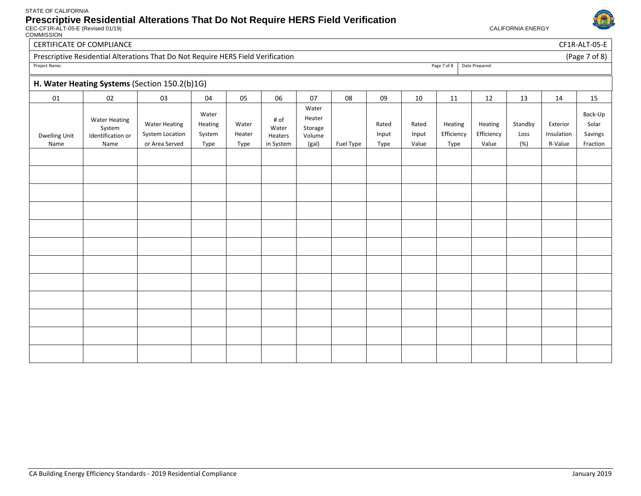COMMISSION



CERTIFICATE OF COMPLIANCE CHARGE COMPLIANCE CHARGE CHARGE CHARGE CHARGE CHARGE CHARGE CHARGE CHARGE CHARGE CHARGE CHARGE CHARGE CHARGE CHARGE CHARGE CHARGE CHARGE CHARGE CHARGE CHARGE CHARGE CHARGE CHARGE CHARGE CHARGE CHA

| <b>Proscriptivo Posidential Alterations That Do Not Poquiro HEPS Field</b> |  |  |  |  |
|----------------------------------------------------------------------------|--|--|--|--|

| Project Name: |  |  |  |  |
|---------------|--|--|--|--|

| Prescriptive Residential Alterations That Do Not Require HERS Field Verification |                 | of 8<br>'Page  |
|----------------------------------------------------------------------------------|-----------------|----------------|
| Project Name:                                                                    | 7 of 8<br>Page, | Date Prepared: |

## **H. Water Heating Systems** (Section 150.2(b)1G)

|                              |                                                             | <b>III</b> water freating systems (section 150.2(b)10)    |                                    |                         |                                       |                                               |           |                        |                         |                               |                                |                        |                                   |                                         |
|------------------------------|-------------------------------------------------------------|-----------------------------------------------------------|------------------------------------|-------------------------|---------------------------------------|-----------------------------------------------|-----------|------------------------|-------------------------|-------------------------------|--------------------------------|------------------------|-----------------------------------|-----------------------------------------|
| 01                           | 02                                                          | 03                                                        | 04                                 | 05                      | 06                                    | 07                                            | 08        | 09                     | 10                      | 11                            | 12                             | 13                     | 14                                | 15                                      |
| <b>Dwelling Unit</b><br>Name | <b>Water Heating</b><br>System<br>Identification or<br>Name | <b>Water Heating</b><br>System Location<br>or Area Served | Water<br>Heating<br>System<br>Type | Water<br>Heater<br>Type | # of<br>Water<br>Heaters<br>in System | Water<br>Heater<br>Storage<br>Volume<br>(gal) | Fuel Type | Rated<br>Input<br>Type | Rated<br>Input<br>Value | Heating<br>Efficiency<br>Type | Heating<br>Efficiency<br>Value | Standby<br>Loss<br>(%) | Exterior<br>Insulation<br>R-Value | Back-Up<br>Solar<br>Savings<br>Fraction |
|                              |                                                             |                                                           |                                    |                         |                                       |                                               |           |                        |                         |                               |                                |                        |                                   |                                         |
|                              |                                                             |                                                           |                                    |                         |                                       |                                               |           |                        |                         |                               |                                |                        |                                   |                                         |
|                              |                                                             |                                                           |                                    |                         |                                       |                                               |           |                        |                         |                               |                                |                        |                                   |                                         |
|                              |                                                             |                                                           |                                    |                         |                                       |                                               |           |                        |                         |                               |                                |                        |                                   |                                         |
|                              |                                                             |                                                           |                                    |                         |                                       |                                               |           |                        |                         |                               |                                |                        |                                   |                                         |
|                              |                                                             |                                                           |                                    |                         |                                       |                                               |           |                        |                         |                               |                                |                        |                                   |                                         |
|                              |                                                             |                                                           |                                    |                         |                                       |                                               |           |                        |                         |                               |                                |                        |                                   |                                         |
|                              |                                                             |                                                           |                                    |                         |                                       |                                               |           |                        |                         |                               |                                |                        |                                   |                                         |
|                              |                                                             |                                                           |                                    |                         |                                       |                                               |           |                        |                         |                               |                                |                        |                                   |                                         |
|                              |                                                             |                                                           |                                    |                         |                                       |                                               |           |                        |                         |                               |                                |                        |                                   |                                         |
|                              |                                                             |                                                           |                                    |                         |                                       |                                               |           |                        |                         |                               |                                |                        |                                   |                                         |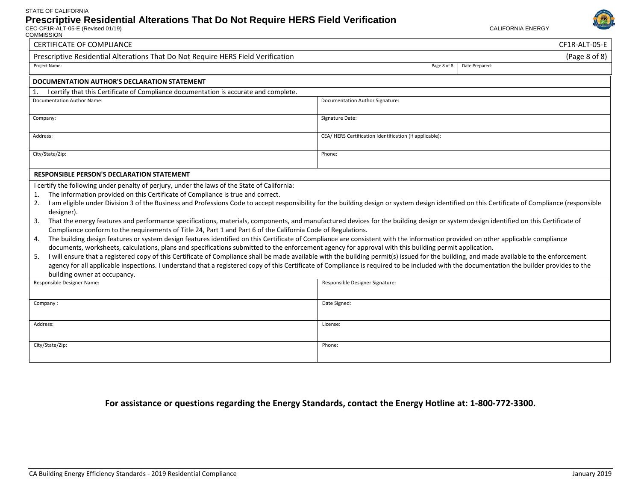

| COMMISSION                                                                                                                                                                                                                                                                                                                                                                                                                                                                                                                                                                                                                                                                                                                                                                                                                                                                                                     |                                                                                                                                                                                                                                                                                                                                                                                                                                                                                                                                                                                            |  |  |  |  |  |  |
|----------------------------------------------------------------------------------------------------------------------------------------------------------------------------------------------------------------------------------------------------------------------------------------------------------------------------------------------------------------------------------------------------------------------------------------------------------------------------------------------------------------------------------------------------------------------------------------------------------------------------------------------------------------------------------------------------------------------------------------------------------------------------------------------------------------------------------------------------------------------------------------------------------------|--------------------------------------------------------------------------------------------------------------------------------------------------------------------------------------------------------------------------------------------------------------------------------------------------------------------------------------------------------------------------------------------------------------------------------------------------------------------------------------------------------------------------------------------------------------------------------------------|--|--|--|--|--|--|
| <b>CERTIFICATE OF COMPLIANCE</b>                                                                                                                                                                                                                                                                                                                                                                                                                                                                                                                                                                                                                                                                                                                                                                                                                                                                               | CF1R-ALT-05-E                                                                                                                                                                                                                                                                                                                                                                                                                                                                                                                                                                              |  |  |  |  |  |  |
| (Page 8 of 8)<br>Prescriptive Residential Alterations That Do Not Require HERS Field Verification                                                                                                                                                                                                                                                                                                                                                                                                                                                                                                                                                                                                                                                                                                                                                                                                              |                                                                                                                                                                                                                                                                                                                                                                                                                                                                                                                                                                                            |  |  |  |  |  |  |
| Project Name:<br>Page 8 of 8<br>Date Prepared:                                                                                                                                                                                                                                                                                                                                                                                                                                                                                                                                                                                                                                                                                                                                                                                                                                                                 |                                                                                                                                                                                                                                                                                                                                                                                                                                                                                                                                                                                            |  |  |  |  |  |  |
| DOCUMENTATION AUTHOR'S DECLARATION STATEMENT                                                                                                                                                                                                                                                                                                                                                                                                                                                                                                                                                                                                                                                                                                                                                                                                                                                                   |                                                                                                                                                                                                                                                                                                                                                                                                                                                                                                                                                                                            |  |  |  |  |  |  |
| I certify that this Certificate of Compliance documentation is accurate and complete.                                                                                                                                                                                                                                                                                                                                                                                                                                                                                                                                                                                                                                                                                                                                                                                                                          |                                                                                                                                                                                                                                                                                                                                                                                                                                                                                                                                                                                            |  |  |  |  |  |  |
| <b>Documentation Author Name:</b>                                                                                                                                                                                                                                                                                                                                                                                                                                                                                                                                                                                                                                                                                                                                                                                                                                                                              | Documentation Author Signature:                                                                                                                                                                                                                                                                                                                                                                                                                                                                                                                                                            |  |  |  |  |  |  |
| Signature Date:<br>Company:                                                                                                                                                                                                                                                                                                                                                                                                                                                                                                                                                                                                                                                                                                                                                                                                                                                                                    |                                                                                                                                                                                                                                                                                                                                                                                                                                                                                                                                                                                            |  |  |  |  |  |  |
| Address:                                                                                                                                                                                                                                                                                                                                                                                                                                                                                                                                                                                                                                                                                                                                                                                                                                                                                                       | CEA/HERS Certification Identification (if applicable):                                                                                                                                                                                                                                                                                                                                                                                                                                                                                                                                     |  |  |  |  |  |  |
| City/State/Zip:<br>Phone:                                                                                                                                                                                                                                                                                                                                                                                                                                                                                                                                                                                                                                                                                                                                                                                                                                                                                      |                                                                                                                                                                                                                                                                                                                                                                                                                                                                                                                                                                                            |  |  |  |  |  |  |
| <b>RESPONSIBLE PERSON'S DECLARATION STATEMENT</b>                                                                                                                                                                                                                                                                                                                                                                                                                                                                                                                                                                                                                                                                                                                                                                                                                                                              |                                                                                                                                                                                                                                                                                                                                                                                                                                                                                                                                                                                            |  |  |  |  |  |  |
| I certify the following under penalty of perjury, under the laws of the State of California:<br>The information provided on this Certificate of Compliance is true and correct.<br>1.<br>2.<br>designer).<br>That the energy features and performance specifications, materials, components, and manufactured devices for the building design or system design identified on this Certificate of<br>3.<br>Compliance conform to the requirements of Title 24, Part 1 and Part 6 of the California Code of Regulations.<br>The building design features or system design features identified on this Certificate of Compliance are consistent with the information provided on other applicable compliance<br>4.<br>documents, worksheets, calculations, plans and specifications submitted to the enforcement agency for approval with this building permit application.<br>5.<br>building owner at occupancy. | I am eligible under Division 3 of the Business and Professions Code to accept responsibility for the building design or system design identified on this Certificate of Compliance (responsible<br>I will ensure that a registered copy of this Certificate of Compliance shall be made available with the building permit(s) issued for the building, and made available to the enforcement<br>agency for all applicable inspections. I understand that a registered copy of this Certificate of Compliance is required to be included with the documentation the builder provides to the |  |  |  |  |  |  |
| Responsible Designer Name:                                                                                                                                                                                                                                                                                                                                                                                                                                                                                                                                                                                                                                                                                                                                                                                                                                                                                     | Responsible Designer Signature:                                                                                                                                                                                                                                                                                                                                                                                                                                                                                                                                                            |  |  |  |  |  |  |
| Company:                                                                                                                                                                                                                                                                                                                                                                                                                                                                                                                                                                                                                                                                                                                                                                                                                                                                                                       | Date Signed:                                                                                                                                                                                                                                                                                                                                                                                                                                                                                                                                                                               |  |  |  |  |  |  |
| Address:                                                                                                                                                                                                                                                                                                                                                                                                                                                                                                                                                                                                                                                                                                                                                                                                                                                                                                       | License:                                                                                                                                                                                                                                                                                                                                                                                                                                                                                                                                                                                   |  |  |  |  |  |  |
| City/State/Zip:                                                                                                                                                                                                                                                                                                                                                                                                                                                                                                                                                                                                                                                                                                                                                                                                                                                                                                | Phone:                                                                                                                                                                                                                                                                                                                                                                                                                                                                                                                                                                                     |  |  |  |  |  |  |

### **For assistance or questions regarding the Energy Standards, contact the Energy Hotline at: 1-800-772-3300.**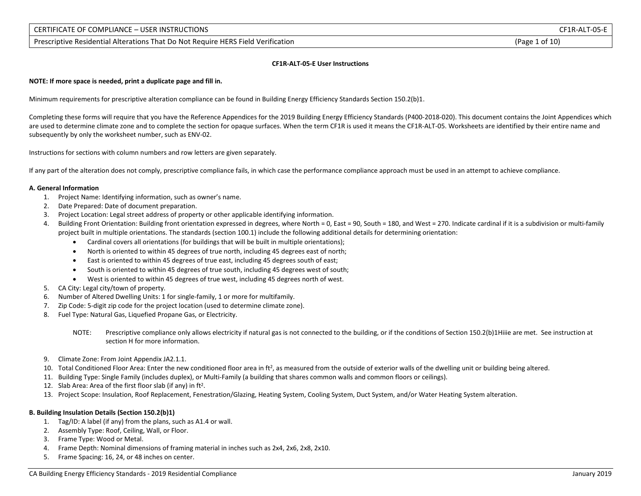5. Frame Spacing: 16, 24, or 48 inches on center.

### CERTIFICATE OF COMPLIANCE – USER INSTRUCTIONS CF1R-ALT-05-E

Prescriptive Residential Alterations That Do Not Require HERS Field Verification (Page 1 of 10)

### **CF1R-ALT-05-E User Instructions**

**NOTE: If more space is needed, print a duplicate page and fill in.**

Minimum requirements for prescriptive alteration compliance can be found in Building Energy Efficiency Standards Section 150.2(b)1.

Completing these forms will require that you have the Reference Appendices for the 2019 Building Energy Efficiency Standards (P400-2018-020). This document contains the Joint Appendices which are used to determine climate zone and to complete the section for opaque surfaces. When the term CF1R is used it means the CF1R-ALT-05. Worksheets are identified by their entire name and subsequently by only the worksheet number, such as ENV-02.

Instructions for sections with column numbers and row letters are given separately.

If any part of the alteration does not comply, prescriptive compliance fails, in which case the performance compliance approach must be used in an attempt to achieve compliance.

### **A. General Information**

- 1. Project Name: Identifying information, such as owner's name.
- 2. Date Prepared: Date of document preparation.
- 3. Project Location: Legal street address of property or other applicable identifying information.
- 4. Building Front Orientation: Building front orientation expressed in degrees, where North = 0, East = 90, South = 180, and West = 270. Indicate cardinal if it is a subdivision or multi-family project built in multiple orientations. The standards (section 100.1) include the following additional details for determining orientation:
	- Cardinal covers all orientations (for buildings that will be built in multiple orientations);
	- North is oriented to within 45 degrees of true north, including 45 degrees east of north;
	- East is oriented to within 45 degrees of true east, including 45 degrees south of east;
	- South is oriented to within 45 degrees of true south, including 45 degrees west of south;
	- West is oriented to within 45 degrees of true west, including 45 degrees north of west.
- 5. CA City: Legal city/town of property.
- 6. Number of Altered Dwelling Units: 1 for single-family, 1 or more for multifamily.
- 7. Zip Code: 5-digit zip code for the project location (used to determine climate zone).
- 8. Fuel Type: Natural Gas, Liquefied Propane Gas, or Electricity.
	- NOTE: Prescriptive compliance only allows electricity if natural gas is not connected to the building, or if the conditions of Section 150.2(b)1Hiiie are met. See instruction at section H for more information.
- 9. Climate Zone: From Joint Appendix JA2.1.1.
- 10. Total Conditioned Floor Area: Enter the new conditioned floor area in ft2, as measured from the outside of exterior walls of the dwelling unit or building being altered.
- 11. Building Type: Single Family (includes duplex), or Multi-Family (a building that shares common walls and common floors or ceilings).
- 12. Slab Area: Area of the first floor slab (if any) in ft2.
- 13. Project Scope: Insulation, Roof Replacement, Fenestration/Glazing, Heating System, Cooling System, Duct System, and/or Water Heating System alteration.

### **B. Building Insulation Details (Section 150.2(b)1)**

- 1. Tag/ID: A label (if any) from the plans, such as A1.4 or wall.
- 2. Assembly Type: Roof, Ceiling, Wall, or Floor.
- 3. Frame Type: Wood or Metal.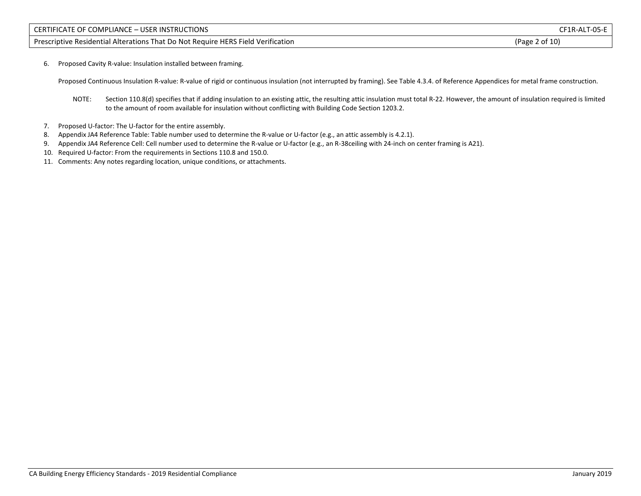Prescriptive Residential Alterations That Do Not Require HERS Field Verification (Page 2 of 10) (Page 2 of 10)

6. Proposed Cavity R-value: Insulation installed between framing.

Proposed Continuous Insulation R-value: R-value of rigid or continuous insulation (not interrupted by framing). See Table 4.3.4. of Reference Appendices for metal frame construction.

- NOTE: Section 110.8(d) specifies that if adding insulation to an existing attic, the resulting attic insulation must total R-22. However, the amount of insulation required is limited to the amount of room available for insulation without conflicting with Building Code Section 1203.2.
- 7. Proposed U-factor: The U-factor for the entire assembly.
- 8. Appendix JA4 Reference Table: Table number used to determine the R-value or U-factor (e.g., an attic assembly is 4.2.1).
- 9. Appendix JA4 Reference Cell: Cell number used to determine the R-value or U-factor (e.g., an R-38ceiling with 24-inch on center framing is A21).
- 10. Required U-factor: From the requirements in Sections 110.8 and 150.0.
- 11. Comments: Any notes regarding location, unique conditions, or attachments.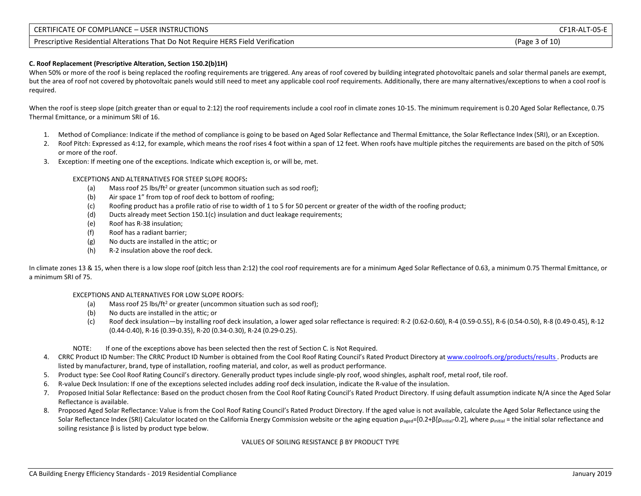| CERTIFICATE OF COMPLIANCE - USER INSTRUCTIONS                                    | CF1R-ALT-05-E  |
|----------------------------------------------------------------------------------|----------------|
| Prescriptive Residential Alterations That Do Not Require HERS Field Verification | (Page 3 of 10) |

### **C. Roof Replacement (Prescriptive Alteration, Section 150.2(b)1H)**

When 50% or more of the roof is being replaced the roofing requirements are triggered. Any areas of roof covered by building integrated photovoltaic panels and solar thermal panels are exempt, but the area of roof not covered by photovoltaic panels would still need to meet any applicable cool roof requirements. Additionally, there are many alternatives/exceptions to when a cool roof is required.

When the roof is steep slope (pitch greater than or equal to 2:12) the roof requirements include a cool roof in climate zones 10-15. The minimum requirement is 0.20 Aged Solar Reflectance, 0.75 Thermal Emittance, or a minimum SRI of 16.

- 1. Method of Compliance: Indicate if the method of compliance is going to be based on Aged Solar Reflectance and Thermal Emittance, the Solar Reflectance Index (SRI), or an Exception.
- 2. Roof Pitch: Expressed as 4:12, for example, which means the roof rises 4 foot within a span of 12 feet. When roofs have multiple pitches the requirements are based on the pitch of 50% or more of the roof.
- 3. Exception: If meeting one of the exceptions. Indicate which exception is, or will be, met.

EXCEPTIONS AND ALTERNATIVES FOR STEEP SLOPE ROOFS**:**

- (a) Mass roof 25 lbs/ft<sup>2</sup> or greater (uncommon situation such as sod roof);
- (b) Air space 1" from top of roof deck to bottom of roofing;
- (c) Roofing product has a profile ratio of rise to width of 1 to 5 for 50 percent or greater of the width of the roofing product;
- (d) Ducts already meet Section 150.1(c) insulation and duct leakage requirements;
- (e) Roof has R-38 insulation;
- (f) Roof has a radiant barrier;
- (g) No ducts are installed in the attic; or
- (h) R-2 insulation above the roof deck.

In climate zones 13 & 15, when there is a low slope roof (pitch less than 2:12) the cool roof requirements are for a minimum Aged Solar Reflectance of 0.63, a minimum 0.75 Thermal Emittance, or a minimum SRI of 75.

### EXCEPTIONS AND ALTERNATIVES FOR LOW SLOPE ROOFS:

- (a) Mass roof 25 lbs/ft<sup>2</sup> or greater (uncommon situation such as sod roof);
- (b) No ducts are installed in the attic; or
- (c) Roof deck insulation—by installing roof deck insulation, a lower aged solar reflectance is required: R-2 (0.62-0.60), R-4 (0.59-0.55), R-6 (0.54-0.50), R-8 (0.49-0.45), R-12 (0.44-0.40), R-16 (0.39-0.35), R-20 (0.34-0.30), R-24 (0.29-0.25).
- NOTE: If one of the exceptions above has been selected then the rest of Section C. is Not Required.
- 4. CRRC Product ID Number: The CRRC Product ID Number is obtained from the Cool Roof Rating Council's Rated Product Directory a[t www.coolroofs.org/products/results .](http://www.coolroofs.org/products/results) Products are listed by manufacturer, brand, type of installation, roofing material, and color, as well as product performance.
- 5. Product type: See Cool Roof Rating Council's directory. Generally product types include single-ply roof, wood shingles, asphalt roof, metal roof, tile roof.
- 6. R-value Deck Insulation: If one of the exceptions selected includes adding roof deck insulation, indicate the R-value of the insulation.
- 7. Proposed Initial Solar Reflectance: Based on the product chosen from the Cool Roof Rating Council's Rated Product Directory. If using default assumption indicate N/A since the Aged Solar Reflectance is available.
- 8. Proposed Aged Solar Reflectance: Value is from the Cool Roof Rating Council's Rated Product Directory. If the aged value is not available, calculate the Aged Solar Reflectance using the Solar Reflectance Index (SRI) Calculator located on the California Energy Commission website or the aging equation  $\rho_{\text{a} \text{ged}} = [0.2+\beta[\rho_{\text{initial}}-0.2])$ , where  $\rho_{\text{initial}} =$  the initial solar reflectance and soiling resistance β is listed by product type below.

#### VALUES OF SOILING RESISTANCE β BY PRODUCT TYPE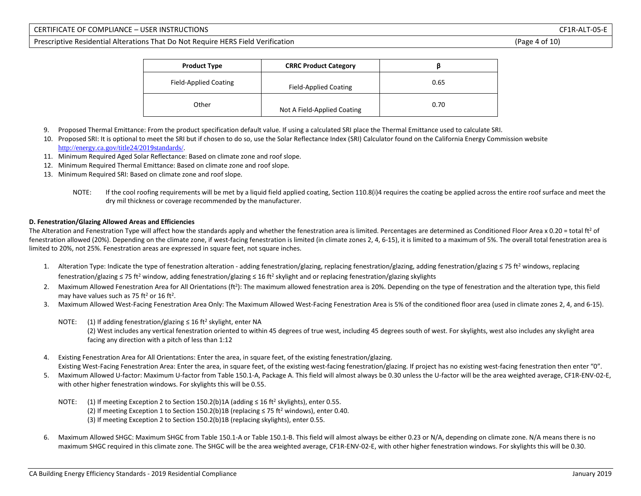### CERTIFICATE OF COMPLIANCE – USER INSTRUCTIONS CF1R-ALT-05-E

Prescriptive Residential Alterations That Do Not Require HERS Field Verification (Page 4 of 10)

| <b>Product Type</b>          | <b>CRRC Product Category</b> |      |
|------------------------------|------------------------------|------|
| <b>Field-Applied Coating</b> | Field-Applied Coating        | 0.65 |
| Other                        | Not A Field-Applied Coating  | 0.70 |

- 9. Proposed Thermal Emittance: From the product specification default value. If using a calculated SRI place the Thermal Emittance used to calculate SRI.
- 10. Proposed SRI: It is optional to meet the SRI but if chosen to do so, use the Solar Reflectance Index (SRI) Calculator found on the California Energy Commission website [http://energy.ca.gov/title24/201](http://energy.ca.gov/title24/2019standards/)9standards/.
- 11. Minimum Required Aged Solar Reflectance: Based on climate zone and roof slope.
- 12. Minimum Required Thermal Emittance: Based on climate zone and roof slope.
- 13. Minimum Required SRI: Based on climate zone and roof slope.
	- NOTE: If the cool roofing requirements will be met by a liquid field applied coating, Section 110.8(i)4 requires the coating be applied across the entire roof surface and meet the dry mil thickness or coverage recommended by the manufacturer.

### **D. Fenestration/Glazing Allowed Areas and Efficiencies**

The Alteration and Fenestration Type will affect how the standards apply and whether the fenestration area is limited. Percentages are determined as Conditioned Floor Area x 0.20 = total ft<sup>2</sup> of fenestration allowed (20%). Depending on the climate zone, if west-facing fenestration is limited (in climate zones 2, 4, 6-15), it is limited to a maximum of 5%. The overall total fenestration area is limited to 20%, not 25%. Fenestration areas are expressed in square feet, not square inches.

- 1. Alteration Type: Indicate the type of fenestration alteration adding fenestration/glazing, replacing fenestration/glazing, adding fenestration/glazing ≤ 75 ft<sup>2</sup> windows, replacing fenestration/glazing ≤ 75 ft<sup>2</sup> window, adding fenestration/glazing ≤ 16 ft<sup>2</sup> skylight and or replacing fenestration/glazing skylights
- 2. Maximum Allowed Fenestration Area for All Orientations (ft2): The maximum allowed fenestration area is 20%. Depending on the type of fenestration and the alteration type, this field may have values such as 75 ft<sup>2</sup> or 16 ft<sup>2</sup>.
- 3. Maximum Allowed West-Facing Fenestration Area Only: The Maximum Allowed West-Facing Fenestration Area is 5% of the conditioned floor area (used in climate zones 2, 4, and 6-15).
	- NOTE: (1) If adding fenestration/glazing  $\leq 16$  ft<sup>2</sup> skylight, enter NA (2) West includes any vertical fenestration oriented to within 45 degrees of true west, including 45 degrees south of west. For skylights, west also includes any skylight area facing any direction with a pitch of less than 1:12
- 4. Existing Fenestration Area for All Orientations: Enter the area, in square feet, of the existing fenestration/glazing. Existing West-Facing Fenestration Area: Enter the area, in square feet, of the existing west-facing fenestration/glazing. If project has no existing west-facing fenestration then enter "0".
- 5. Maximum Allowed U-factor: Maximum U-factor from Table 150.1-A, Package A. This field will almost always be 0.30 unless the U-factor will be the area weighted average, CF1R-ENV-02-E, with other higher fenestration windows. For skylights this will be 0.55.
	- NOTE: (1) If meeting Exception 2 to Section 150.2(b)1A (adding  $\leq 16$  ft<sup>2</sup> skylights), enter 0.55. (2) If meeting Exception 1 to Section 150.2(b)1B (replacing  $\leq$  75 ft<sup>2</sup> windows), enter 0.40. (3) If meeting Exception 2 to Section 150.2(b)1B (replacing skylights), enter 0.55.
- 6. Maximum Allowed SHGC: Maximum SHGC from Table 150.1-A or Table 150.1-B. This field will almost always be either 0.23 or N/A, depending on climate zone. N/A means there is no maximum SHGC required in this climate zone. The SHGC will be the area weighted average, CF1R-ENV-02-E, with other higher fenestration windows. For skylights this will be 0.30.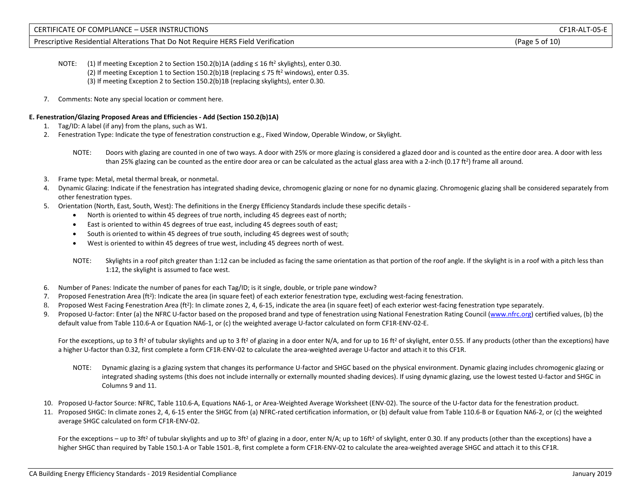### Prescriptive Residential Alterations That Do Not Require HERS Field Verification (Page 5 of 10)

- NOTE: (1) If meeting Exception 2 to Section 150.2(b)1A (adding ≤ 16 ft<sup>2</sup> skylights), enter 0.30. (2) If meeting Exception 1 to Section 150.2(b)1B (replacing  $\leq$  75 ft<sup>2</sup> windows), enter 0.35. (3) If meeting Exception 2 to Section 150.2(b)1B (replacing skylights), enter 0.30.
- 7. Comments: Note any special location or comment here.

### **E. Fenestration/Glazing Proposed Areas and Efficiencies - Add (Section 150.2(b)1A)**

- 1. Tag/ID: A label (if any) from the plans, such as W1.
- 2. Fenestration Type: Indicate the type of fenestration construction e.g., Fixed Window, Operable Window, or Skylight.
	- NOTE: Doors with glazing are counted in one of two ways. A door with 25% or more glazing is considered a glazed door and is counted as the entire door area. A door with less than 25% glazing can be counted as the entire door area or can be calculated as the actual glass area with a 2-inch (0.17 ft<sup>2</sup>) frame all around.
- 3. Frame type: Metal, metal thermal break, or nonmetal.
- 4. Dynamic Glazing: Indicate if the fenestration has integrated shading device, chromogenic glazing or none for no dynamic glazing. Chromogenic glazing shall be considered separately from other fenestration types.
- 5. Orientation (North, East, South, West): The definitions in the Energy Efficiency Standards include these specific details
	- North is oriented to within 45 degrees of true north, including 45 degrees east of north;
	- East is oriented to within 45 degrees of true east, including 45 degrees south of east;
	- South is oriented to within 45 degrees of true south, including 45 degrees west of south;
	- West is oriented to within 45 degrees of true west, including 45 degrees north of west.
	- NOTE: Skylights in a roof pitch greater than 1:12 can be included as facing the same orientation as that portion of the roof angle. If the skylight is in a roof with a pitch less than 1:12, the skylight is assumed to face west.
- 6. Number of Panes: Indicate the number of panes for each Tag/ID; is it single, double, or triple pane window?
- 7. Proposed Fenestration Area ( $ft^2$ ): Indicate the area (in square feet) of each exterior fenestration type, excluding west-facing fenestration.
- 8. Proposed West Facing Fenestration Area (ft<sup>2</sup>): In climate zones 2, 4, 6-15, indicate the area (in square feet) of each exterior west-facing fenestration type separately.
- 9. Proposed U-factor: Enter (a) the NFRC U-factor based on the proposed brand and type of fenestration using National Fenestration Rating Council [\(www.nfrc.org\)](http://www.nfrc.org/) certified values, (b) the default value from Table 110.6-A or Equation NA6-1, or (c) the weighted average U-factor calculated on form CF1R-ENV-02-E.

For the exceptions, up to 3 ft<sup>2</sup> of tubular skylights and up to 3 ft<sup>2</sup> of glazing in a door enter N/A, and for up to 16 ft<sup>2</sup> of skylight, enter 0.55. If any products (other than the exceptions) have a higher U-factor than 0.32, first complete a form CF1R-ENV-02 to calculate the area-weighted average U-factor and attach it to this CF1R.

- NOTE: Dynamic glazing is a glazing system that changes its performance U-factor and SHGC based on the physical environment. Dynamic glazing includes chromogenic glazing or integrated shading systems (this does not include internally or externally mounted shading devices). If using dynamic glazing, use the lowest tested U-factor and SHGC in Columns 9 and 11.
- 10. Proposed U-factor Source: NFRC, Table 110.6-A, Equations NA6-1, or Area-Weighted Average Worksheet (ENV-02). The source of the U-factor data for the fenestration product.
- 11. Proposed SHGC: In climate zones 2, 4, 6-15 enter the SHGC from (a) NFRC-rated certification information, or (b) default value from Table 110.6-B or Equation NA6-2, or (c) the weighted average SHGC calculated on form CF1R-ENV-02.

For the exceptions – up to 3ft<sup>2</sup> of tubular skylights and up to 3ft<sup>2</sup> of glazing in a door, enter N/A; up to 16ft<sup>2</sup> of skylight, enter 0.30. If any products (other than the exceptions) have a higher SHGC than required by Table 150.1-A or Table 1501.-B, first complete a form CF1R-ENV-02 to calculate the area-weighted average SHGC and attach it to this CF1R.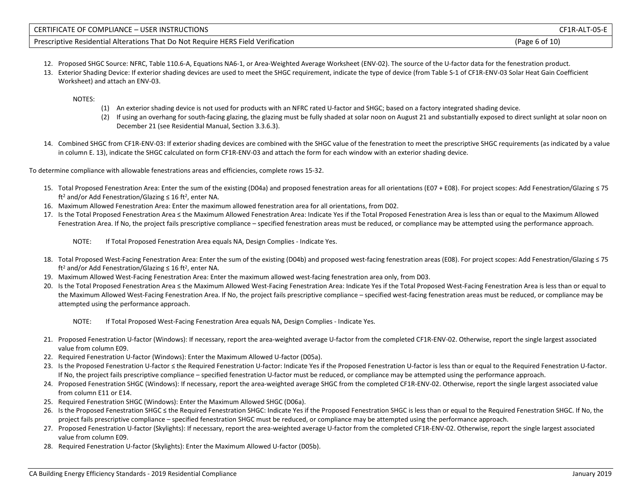| CERTIFICATE OF COMPLIANCE - USER INSTRUCTIONS                                    | $T-05-E$<br>$\cap$ F1R-AL, |
|----------------------------------------------------------------------------------|----------------------------|
| Prescriptive Residential Alterations That Do Not Require HERS Field Verification | (Page 6 of 10)             |

- 12. Proposed SHGC Source: NFRC, Table 110.6-A, Equations NA6-1, or Area-Weighted Average Worksheet (ENV-02). The source of the U-factor data for the fenestration product.
- 13. Exterior Shading Device: If exterior shading devices are used to meet the SHGC requirement, indicate the type of device (from Table S-1 of CF1R-ENV-03 Solar Heat Gain Coefficient Worksheet) and attach an ENV-03.

NOTES:

- (1) An exterior shading device is not used for products with an NFRC rated U-factor and SHGC; based on a factory integrated shading device.
- (2) If using an overhang for south-facing glazing, the glazing must be fully shaded at solar noon on August 21 and substantially exposed to direct sunlight at solar noon on December 21 (see Residential Manual, Section 3.3.6.3).
- 14. Combined SHGC from CF1R-ENV-03: If exterior shading devices are combined with the SHGC value of the fenestration to meet the prescriptive SHGC requirements (as indicated by a value in column E. 13), indicate the SHGC calculated on form CF1R-ENV-03 and attach the form for each window with an exterior shading device.

To determine compliance with allowable fenestrations areas and efficiencies, complete rows 15-32.

- 15. Total Proposed Fenestration Area: Enter the sum of the existing (D04a) and proposed fenestration areas for all orientations (E07 + E08). For project scopes: Add Fenestration/Glazing ≤ 75 ft<sup>2</sup> and/or Add Fenestration/Glazing  $\leq 16$  ft<sup>2</sup>, enter NA.
- 16. Maximum Allowed Fenestration Area: Enter the maximum allowed fenestration area for all orientations, from D02.
- 17. Is the Total Proposed Fenestration Area ≤ the Maximum Allowed Fenestration Area: Indicate Yes if the Total Proposed Fenestration Area is less than or equal to the Maximum Allowed Fenestration Area. If No, the project fails prescriptive compliance – specified fenestration areas must be reduced, or compliance may be attempted using the performance approach.

NOTE: If Total Proposed Fenestration Area equals NA, Design Complies - Indicate Yes.

- 18. Total Proposed West-Facing Fenestration Area: Enter the sum of the existing (D04b) and proposed west-facing fenestration areas (E08). For project scopes: Add Fenestration/Glazing ≤ 75 ft<sup>2</sup> and/or Add Fenestration/Glazing  $\leq$  16 ft<sup>2</sup>, enter NA.
- 19. Maximum Allowed West-Facing Fenestration Area: Enter the maximum allowed west-facing fenestration area only, from D03.
- 20. Is the Total Proposed Fenestration Area ≤ the Maximum Allowed West-Facing Fenestration Area: Indicate Yes if the Total Proposed West-Facing Fenestration Area is less than or equal to the Maximum Allowed West-Facing Fenestration Area. If No, the project fails prescriptive compliance – specified west-facing fenestration areas must be reduced, or compliance may be attempted using the performance approach.
	- NOTE: If Total Proposed West-Facing Fenestration Area equals NA, Design Complies Indicate Yes.
- 21. Proposed Fenestration U-factor (Windows): If necessary, report the area-weighted average U-factor from the completed CF1R-ENV-02. Otherwise, report the single largest associated value from column E09.
- 22. Required Fenestration U-factor (Windows): Enter the Maximum Allowed U-factor (D05a).
- 23. Is the Proposed Fenestration U-factor ≤ the Required Fenestration U-factor: Indicate Yes if the Proposed Fenestration U-factor is less than or equal to the Required Fenestration U-factor. If No, the project fails prescriptive compliance – specified fenestration U-factor must be reduced, or compliance may be attempted using the performance approach.
- 24. Proposed Fenestration SHGC (Windows): If necessary, report the area-weighted average SHGC from the completed CF1R-ENV-02. Otherwise, report the single largest associated value from column E11 or E14.
- 25. Required Fenestration SHGC (Windows): Enter the Maximum Allowed SHGC (D06a).
- 26. Is the Proposed Fenestration SHGC ≤ the Required Fenestration SHGC: Indicate Yes if the Proposed Fenestration SHGC is less than or equal to the Required Fenestration SHGC. If No, the project fails prescriptive compliance – specified fenestration SHGC must be reduced, or compliance may be attempted using the performance approach.
- 27. Proposed Fenestration U-factor (Skylights): If necessary, report the area-weighted average U-factor from the completed CF1R-ENV-02. Otherwise, report the single largest associated value from column E09.
- 28. Required Fenestration U-factor (Skylights): Enter the Maximum Allowed U-factor (D05b).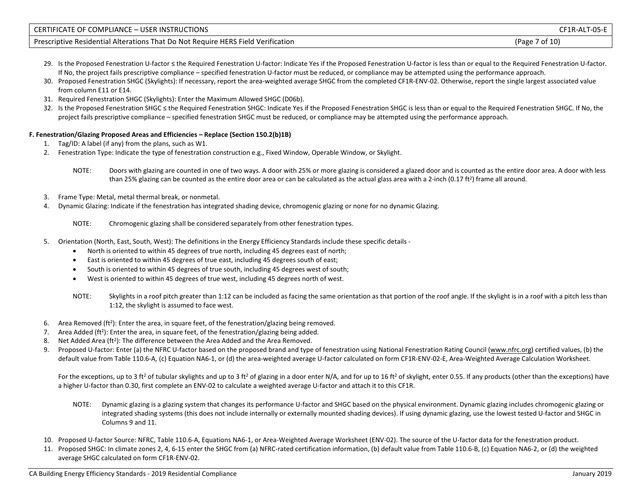| CERTIFICATE OF COMPLIANCE - USER INSTRUCTIONS                                    | CF1R-ALT-05-E    |
|----------------------------------------------------------------------------------|------------------|
| Prescriptive Residential Alterations That Do Not Require HERS Field Verification | of $10$<br>'Page |

- 29. Is the Proposed Fenestration U-factor ≤ the Required Fenestration U-factor: Indicate Yes if the Proposed Fenestration U-factor is less than or equal to the Required Fenestration U-factor. If No, the project fails prescriptive compliance – specified fenestration U-factor must be reduced, or compliance may be attempted using the performance approach.
- 30. Proposed Fenestration SHGC (Skylights): If necessary, report the area-weighted average SHGC from the completed CF1R-ENV-02. Otherwise, report the single largest associated value from column E11 or E14.
- 31. Required Fenestration SHGC (Skylights): Enter the Maximum Allowed SHGC (D06b).
- 32. Is the Proposed Fenestration SHGC ≤ the Required Fenestration SHGC: Indicate Yes if the Proposed Fenestration SHGC is less than or equal to the Required Fenestration SHGC. If No, the project fails prescriptive compliance – specified fenestration SHGC must be reduced, or compliance may be attempted using the performance approach.

### **F. Fenestration/Glazing Proposed Areas and Efficiencies – Replace (Section 150.2(b)1B)**

- 1. Tag/ID: A label (if any) from the plans, such as W1.
- 2. Fenestration Type: Indicate the type of fenestration construction e.g., Fixed Window, Operable Window, or Skylight.
	- NOTE: Doors with glazing are counted in one of two ways. A door with 25% or more glazing is considered a glazed door and is counted as the entire door area. A door with less than 25% glazing can be counted as the entire door area or can be calculated as the actual glass area with a 2-inch (0.17 ft<sup>2</sup>) frame all around.
- 3. Frame Type: Metal, metal thermal break, or nonmetal.
- 4. Dynamic Glazing: Indicate if the fenestration has integrated shading device, chromogenic glazing or none for no dynamic Glazing.
	- NOTE: Chromogenic glazing shall be considered separately from other fenestration types.
- 5. Orientation (North, East, South, West): The definitions in the Energy Efficiency Standards include these specific details
	- North is oriented to within 45 degrees of true north, including 45 degrees east of north;
	- East is oriented to within 45 degrees of true east, including 45 degrees south of east;
	- South is oriented to within 45 degrees of true south, including 45 degrees west of south;
	- West is oriented to within 45 degrees of true west, including 45 degrees north of west.
	- NOTE: Skylights in a roof pitch greater than 1:12 can be included as facing the same orientation as that portion of the roof angle. If the skylight is in a roof with a pitch less than 1:12, the skylight is assumed to face west.
- 6. Area Removed (ft<sup>2</sup>): Enter the area, in square feet, of the fenestration/glazing being removed.
- 7. Area Added (ft<sup>2</sup>): Enter the area, in square feet, of the fenestration/glazing being added.
- 8. Net Added Area (ft<sup>2</sup>): The difference between the Area Added and the Area Removed.
- 9. Proposed U-factor: Enter (a) the NFRC U-factor based on the proposed brand and type of fenestration using National Fenestration Rating Council [\(www.nfrc.org\)](http://www.nfrc.org/) certified values, (b) the default value from Table 110.6-A, (c) Equation NA6-1, or (d) the area-weighted average U-factor calculated on form CF1R-ENV-02-E, Area-Weighted Average Calculation Worksheet.

For the exceptions, up to 3 ft<sup>2</sup> of tubular skylights and up to 3 ft<sup>2</sup> of glazing in a door enter N/A, and for up to 16 ft<sup>2</sup> of skylight, enter 0.55. If any products (other than the exceptions) have a higher U-factor than 0.30, first complete an ENV-02 to calculate a weighted average U-factor and attach it to this CF1R.

- NOTE: Dynamic glazing is a glazing system that changes its performance U-factor and SHGC based on the physical environment. Dynamic glazing includes chromogenic glazing or integrated shading systems (this does not include internally or externally mounted shading devices). If using dynamic glazing, use the lowest tested U-factor and SHGC in Columns 9 and 11.
- 10. Proposed U-factor Source: NFRC, Table 110.6-A, Equations NA6-1, or Area-Weighted Average Worksheet (ENV-02). The source of the U-factor data for the fenestration product.
- 11. Proposed SHGC: In climate zones 2, 4, 6-15 enter the SHGC from (a) NFRC-rated certification information, (b) default value from Table 110.6-B, (c) Equation NA6-2, or (d) the weighted average SHGC calculated on form CF1R-ENV-02.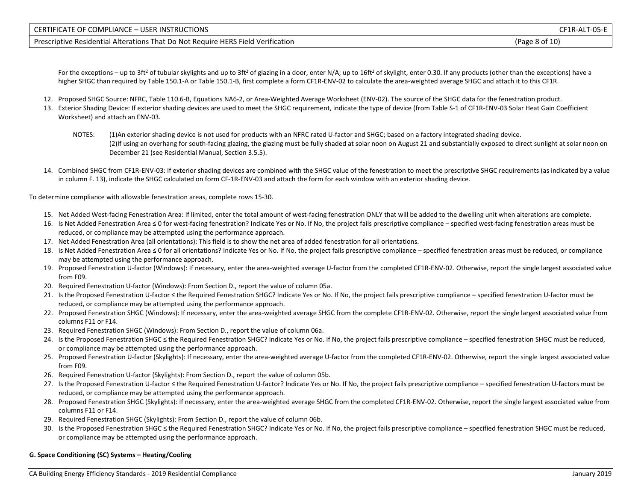| CERTIFICATE OF COMPLIANCE - USER INSTRUCTIONS                                    | CF1R-ALT-05-E  |
|----------------------------------------------------------------------------------|----------------|
| Prescriptive Residential Alterations That Do Not Require HERS Field Verification | (Page 8 of 10) |

For the exceptions – up to 3ft<sup>2</sup> of tubular skylights and up to 3ft<sup>2</sup> of glazing in a door, enter N/A; up to 16ft<sup>2</sup> of skylight, enter 0.30. If any products (other than the exceptions) have a higher SHGC than required by Table 150.1-A or Table 150.1-B, first complete a form CF1R-ENV-02 to calculate the area-weighted average SHGC and attach it to this CF1R.

- 12. Proposed SHGC Source: NFRC, Table 110.6-B, Equations NA6-2, or Area-Weighted Average Worksheet (ENV-02). The source of the SHGC data for the fenestration product.
- 13. Exterior Shading Device: If exterior shading devices are used to meet the SHGC requirement, indicate the type of device (from Table S-1 of CF1R-ENV-03 Solar Heat Gain Coefficient Worksheet) and attach an ENV-03.
	- NOTES: (1)An exterior shading device is not used for products with an NFRC rated U-factor and SHGC; based on a factory integrated shading device. (2)If using an overhang for south-facing glazing, the glazing must be fully shaded at solar noon on August 21 and substantially exposed to direct sunlight at solar noon on December 21 (see Residential Manual, Section 3.5.5).
- 14. Combined SHGC from CF1R-ENV-03: If exterior shading devices are combined with the SHGC value of the fenestration to meet the prescriptive SHGC requirements (as indicated by a value in column F. 13), indicate the SHGC calculated on form CF-1R-ENV-03 and attach the form for each window with an exterior shading device.

To determine compliance with allowable fenestration areas, complete rows 15-30.

- 15. Net Added West-facing Fenestration Area: If limited, enter the total amount of west-facing fenestration ONLY that will be added to the dwelling unit when alterations are complete.
- 16. Is Net Added Fenestration Area ≤ 0 for west-facing fenestration? Indicate Yes or No. If No, the project fails prescriptive compliance specified west-facing fenestration areas must be reduced, or compliance may be attempted using the performance approach.
- 17. Net Added Fenestration Area (all orientations): This field is to show the net area of added fenestration for all orientations.
- 18. Is Net Added Fenestration Area ≤ 0 for all orientations? Indicate Yes or No. If No, the project fails prescriptive compliance specified fenestration areas must be reduced, or compliance may be attempted using the performance approach.
- 19. Proposed Fenestration U-factor (Windows): If necessary, enter the area-weighted average U-factor from the completed CF1R-ENV-02. Otherwise, report the single largest associated value from F09.
- 20. Required Fenestration U-factor (Windows): From Section D., report the value of column 05a.
- 21. Is the Proposed Fenestration U-factor ≤ the Required Fenestration SHGC? Indicate Yes or No. If No, the project fails prescriptive compliance specified fenestration U-factor must be reduced, or compliance may be attempted using the performance approach.
- 22. Proposed Fenestration SHGC (Windows): If necessary, enter the area-weighted average SHGC from the complete CF1R-ENV-02. Otherwise, report the single largest associated value from columns F11 or F14.
- 23. Required Fenestration SHGC (Windows): From Section D., report the value of column 06a.
- 24. Is the Proposed Fenestration SHGC ≤ the Required Fenestration SHGC? Indicate Yes or No. If No, the project fails prescriptive compliance specified fenestration SHGC must be reduced, or compliance may be attempted using the performance approach.
- 25. Proposed Fenestration U-factor (Skylights): If necessary, enter the area-weighted average U-factor from the completed CF1R-ENV-02. Otherwise, report the single largest associated value from F09.
- 26. Required Fenestration U-factor (Skylights): From Section D., report the value of column 05b.
- 27. Is the Proposed Fenestration U-factor ≤ the Required Fenestration U-factor? Indicate Yes or No. If No, the project fails prescriptive compliance specified fenestration U-factors must be reduced, or compliance may be attempted using the performance approach.
- 28. Proposed Fenestration SHGC (Skylights): If necessary, enter the area-weighted average SHGC from the completed CF1R-ENV-02. Otherwise, report the single largest associated value from columns F11 or F14.
- 29. Required Fenestration SHGC (Skylights): From Section D., report the value of column 06b.
- 30. Is the Proposed Fenestration SHGC ≤ the Required Fenestration SHGC? Indicate Yes or No. If No, the project fails prescriptive compliance specified fenestration SHGC must be reduced, or compliance may be attempted using the performance approach.

### **G. Space Conditioning (SC) Systems – Heating/Cooling**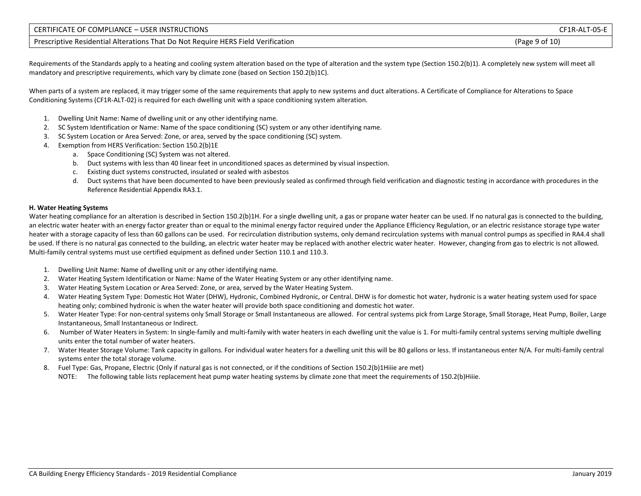| CERTIFICATE OF COMPLIANCE - USER INSTRUCTIONS                                    | CF1R-ALT-05-E  |
|----------------------------------------------------------------------------------|----------------|
| Prescriptive Residential Alterations That Do Not Require HERS Field Verification | (Page 9 of 10) |

Requirements of the Standards apply to a heating and cooling system alteration based on the type of alteration and the system type (Section 150.2(b)1). A completely new system will meet all mandatory and prescriptive requirements, which vary by climate zone (based on Section 150.2(b)1C).

When parts of a system are replaced, it may trigger some of the same requirements that apply to new systems and duct alterations. A Certificate of Compliance for Alterations to Space Conditioning Systems (CF1R-ALT-02) is required for each dwelling unit with a space conditioning system alteration.

- 1. Dwelling Unit Name: Name of dwelling unit or any other identifying name.
- 2. SC System Identification or Name: Name of the space conditioning (SC) system or any other identifying name.
- 3. SC System Location or Area Served: Zone, or area, served by the space conditioning (SC) system.
- 4. Exemption from HERS Verification: Section 150.2(b)1E
	- a. Space Conditioning (SC) System was not altered.
	- b. Duct systems with less than 40 linear feet in unconditioned spaces as determined by visual inspection.
	- c. Existing duct systems constructed, insulated or sealed with asbestos
	- d. Duct systems that have been documented to have been previously sealed as confirmed through field verification and diagnostic testing in accordance with procedures in the Reference Residential Appendix RA3.1.

### **H. Water Heating Systems**

Water heating compliance for an alteration is described in Section 150.2(b)1H. For a single dwelling unit, a gas or propane water heater can be used. If no natural gas is connected to the building, an electric water heater with an energy factor greater than or equal to the minimal energy factor required under the Appliance Efficiency Regulation, or an electric resistance storage type water heater with a storage capacity of less than 60 gallons can be used. For recirculation distribution systems, only demand recirculation systems with manual control pumps as specified in RA4.4 shall be used. If there is no natural gas connected to the building, an electric water heater may be replaced with another electric water heater. However, changing from gas to electric is not allowed. Multi-family central systems must use certified equipment as defined under Section 110.1 and 110.3.

- 1. Dwelling Unit Name: Name of dwelling unit or any other identifying name.
- 2. Water Heating System Identification or Name: Name of the Water Heating System or any other identifying name.
- 3. Water Heating System Location or Area Served: Zone, or area, served by the Water Heating System.
- 4. Water Heating System Type: Domestic Hot Water (DHW), Hydronic, Combined Hydronic, or Central. DHW is for domestic hot water, hydronic is a water heating system used for space heating only; combined hydronic is when the water heater will provide both space conditioning and domestic hot water.
- 5. Water Heater Type: For non-central systems only Small Storage or Small Instantaneous are allowed. For central systems pick from Large Storage, Small Storage, Heat Pump, Boiler, Large Instantaneous, Small Instantaneous or Indirect.
- 6. Number of Water Heaters in System: In single-family and multi-family with water heaters in each dwelling unit the value is 1. For multi-family central systems serving multiple dwelling units enter the total number of water heaters.
- 7. Water Heater Storage Volume: Tank capacity in gallons. For individual water heaters for a dwelling unit this will be 80 gallons or less. If instantaneous enter N/A. For multi-family central systems enter the total storage volume.
- 8. Fuel Type: Gas, Propane, Electric (Only if natural gas is not connected, or if the conditions of Section 150.2(b)1Hiiie are met)
- NOTE: The following table lists replacement heat pump water heating systems by climate zone that meet the requirements of 150.2(b)Hiiie.